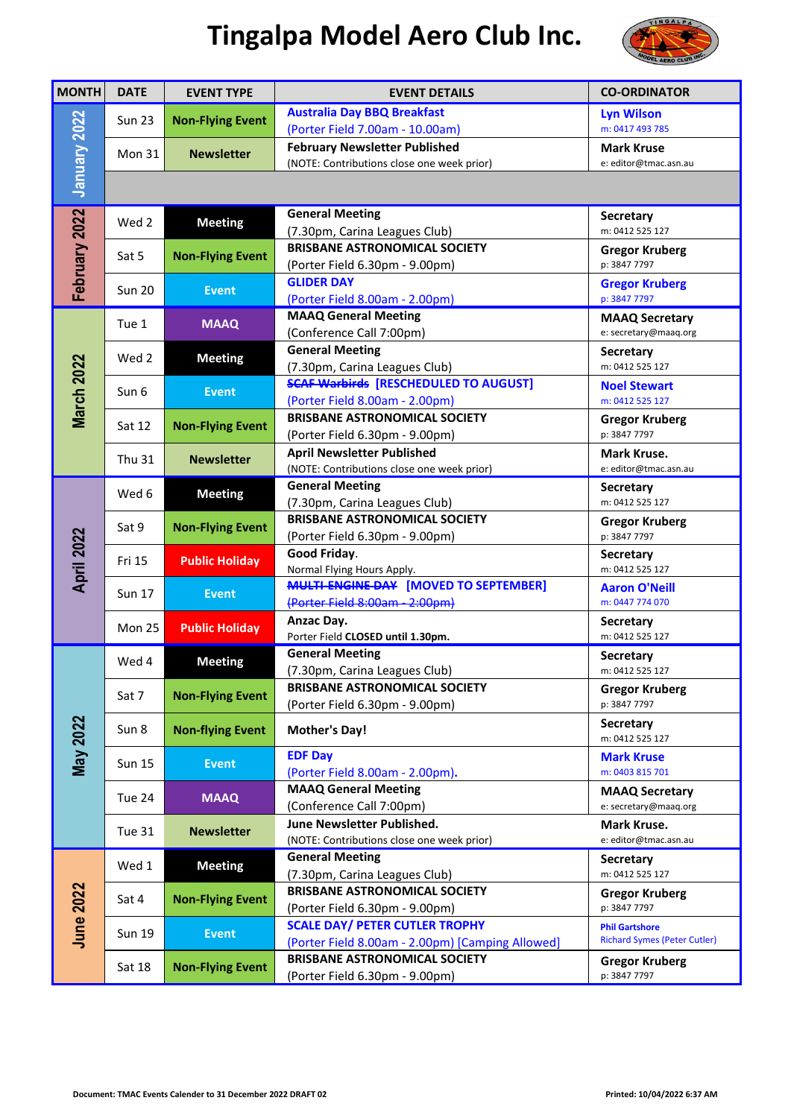## **Tingalpa Model Aero Club Inc.**



| <b>MONTH</b>     | <b>DATE</b>                     | <b>EVENT TYPE</b>                             | <b>EVENT DETAILS</b>                                                                      | <b>CO-ORDINATOR</b>                                          |
|------------------|---------------------------------|-----------------------------------------------|-------------------------------------------------------------------------------------------|--------------------------------------------------------------|
|                  | <b>Sun 23</b>                   | <b>Non-Flying Event</b>                       | <b>Australia Day BBQ Breakfast</b>                                                        | <b>Lyn Wilson</b>                                            |
| January 2022     |                                 |                                               | (Porter Field 7.00am - 10.00am)                                                           | m: 0417 493 785                                              |
|                  | Mon 31                          | <b>Newsletter</b>                             | <b>February Newsletter Published</b>                                                      | <b>Mark Kruse</b>                                            |
|                  |                                 |                                               | (NOTE: Contributions close one week prior)                                                | e: editor@tmac.asn.au                                        |
|                  |                                 |                                               |                                                                                           |                                                              |
| February 2022    | Wed 2                           | <b>Meeting</b>                                | <b>General Meeting</b>                                                                    | Secretary                                                    |
|                  |                                 |                                               | (7.30pm, Carina Leagues Club)                                                             | m: 0412 525 127                                              |
|                  | Sat 5                           | <b>Non-Flying Event</b>                       | <b>BRISBANE ASTRONOMICAL SOCIETY</b>                                                      | <b>Gregor Kruberg</b>                                        |
|                  | <b>Sun 20</b><br>Tue 1<br>Wed 2 | <b>Event</b><br><b>MAAQ</b><br><b>Meeting</b> | (Porter Field 6.30pm - 9.00pm)                                                            | p: 3847 7797                                                 |
|                  |                                 |                                               | <b>GLIDER DAY</b><br>(Porter Field 8.00am - 2.00pm)                                       | <b>Gregor Kruberg</b><br>p: 3847 7797                        |
|                  |                                 |                                               | <b>MAAQ General Meeting</b>                                                               | <b>MAAQ Secretary</b>                                        |
|                  |                                 |                                               | (Conference Call 7:00pm)                                                                  | e: secretary@maaq.org                                        |
|                  |                                 |                                               | <b>General Meeting</b>                                                                    | <b>Secretary</b>                                             |
|                  |                                 |                                               | (7.30pm, Carina Leagues Club)                                                             | m: 0412 525 127                                              |
| March 2022       |                                 | <b>Event</b>                                  | <b>SCAF Warbirds [RESCHEDULED TO AUGUST]</b>                                              | <b>Noel Stewart</b>                                          |
|                  | Sun 6                           |                                               | (Porter Field 8.00am - 2.00pm)                                                            | m: 0412 525 127                                              |
|                  | Sat 12                          | <b>Non-Flying Event</b>                       | <b>BRISBANE ASTRONOMICAL SOCIETY</b>                                                      | <b>Gregor Kruberg</b>                                        |
|                  |                                 |                                               | (Porter Field 6.30pm - 9.00pm)                                                            | p: 3847 7797                                                 |
|                  | Thu 31                          | <b>Newsletter</b>                             | <b>April Newsletter Published</b>                                                         | Mark Kruse.                                                  |
|                  |                                 |                                               | (NOTE: Contributions close one week prior)                                                | e: editor@tmac.asn.au                                        |
|                  | Wed 6                           | <b>Meeting</b>                                | <b>General Meeting</b>                                                                    | <b>Secretary</b>                                             |
|                  |                                 |                                               | (7.30pm, Carina Leagues Club)<br><b>BRISBANE ASTRONOMICAL SOCIETY</b>                     | m: 0412 525 127                                              |
| April 2022       | Sat 9                           | <b>Non-Flying Event</b>                       |                                                                                           | <b>Gregor Kruberg</b><br>p: 3847 7797                        |
|                  |                                 |                                               | (Porter Field 6.30pm - 9.00pm)<br>Good Friday.                                            | Secretary                                                    |
|                  | Fri 15                          | <b>Public Holiday</b>                         | Normal Flying Hours Apply.                                                                | m: 0412 525 127                                              |
|                  | <b>Sun 17</b>                   |                                               | <b>MULTI-ENGINE-DAY [MOVED TO SEPTEMBER]</b>                                              | <b>Aaron O'Neill</b>                                         |
|                  |                                 | <b>Event</b>                                  | (Porter Field 8:00am - 2:00pm)                                                            | m: 0447 774 070                                              |
|                  | <b>Mon 25</b>                   | <b>Public Holiday</b>                         | Anzac Day.                                                                                | <b>Secretary</b>                                             |
|                  |                                 |                                               | Porter Field CLOSED until 1.30pm.                                                         | m: 0412 525 127                                              |
|                  | Wed 4                           | <b>Meeting</b>                                | <b>General Meeting</b>                                                                    | <b>Secretary</b>                                             |
| <b>May 2022</b>  |                                 |                                               | (7.30pm, Carina Leagues Club)                                                             | m: 0412 525 127                                              |
|                  | Sat 7                           | <b>Non-Flying Event</b>                       | <b>BRISBANE ASTRONOMICAL SOCIETY</b>                                                      | <b>Gregor Kruberg</b>                                        |
|                  |                                 |                                               | (Porter Field 6.30pm - 9.00pm)                                                            | p: 3847 7797                                                 |
|                  | Sun 8                           | <b>Non-flying Event</b>                       | <b>Mother's Day!</b>                                                                      | <b>Secretary</b><br>m: 0412 525 127                          |
|                  |                                 | <b>Event</b>                                  | <b>EDF Day</b>                                                                            | <b>Mark Kruse</b>                                            |
|                  | <b>Sun 15</b>                   |                                               | (Porter Field 8.00am - 2.00pm).                                                           | m: 0403 815 701                                              |
|                  |                                 |                                               | <b>MAAQ General Meeting</b>                                                               | <b>MAAQ Secretary</b>                                        |
|                  | Tue 24                          | <b>MAAQ</b>                                   | (Conference Call 7:00pm)                                                                  | e: secretary@maaq.org                                        |
|                  | Tue 31                          | <b>Newsletter</b>                             | June Newsletter Published.                                                                | Mark Kruse.                                                  |
|                  |                                 |                                               | (NOTE: Contributions close one week prior)                                                | e: editor@tmac.asn.au                                        |
| <b>June 2022</b> | Wed 1                           | <b>Meeting</b>                                | <b>General Meeting</b>                                                                    | <b>Secretary</b>                                             |
|                  |                                 |                                               | (7.30pm, Carina Leagues Club)                                                             | m: 0412 525 127                                              |
|                  | Sat 4                           | <b>Non-Flying Event</b>                       | <b>BRISBANE ASTRONOMICAL SOCIETY</b>                                                      | <b>Gregor Kruberg</b>                                        |
|                  |                                 | (Porter Field 6.30pm - 9.00pm)                | p: 3847 7797                                                                              |                                                              |
|                  | <b>Sun 19</b>                   | <b>Event</b>                                  | <b>SCALE DAY/ PETER CUTLER TROPHY</b><br>(Porter Field 8.00am - 2.00pm) [Camping Allowed] | <b>Phil Gartshore</b><br><b>Richard Symes (Peter Cutler)</b> |
|                  |                                 |                                               | <b>BRISBANE ASTRONOMICAL SOCIETY</b>                                                      |                                                              |
|                  | Sat 18                          | <b>Non-Flying Event</b>                       | (Porter Field 6.30pm - 9.00pm)                                                            | <b>Gregor Kruberg</b><br>p: 3847 7797                        |
|                  |                                 |                                               |                                                                                           |                                                              |